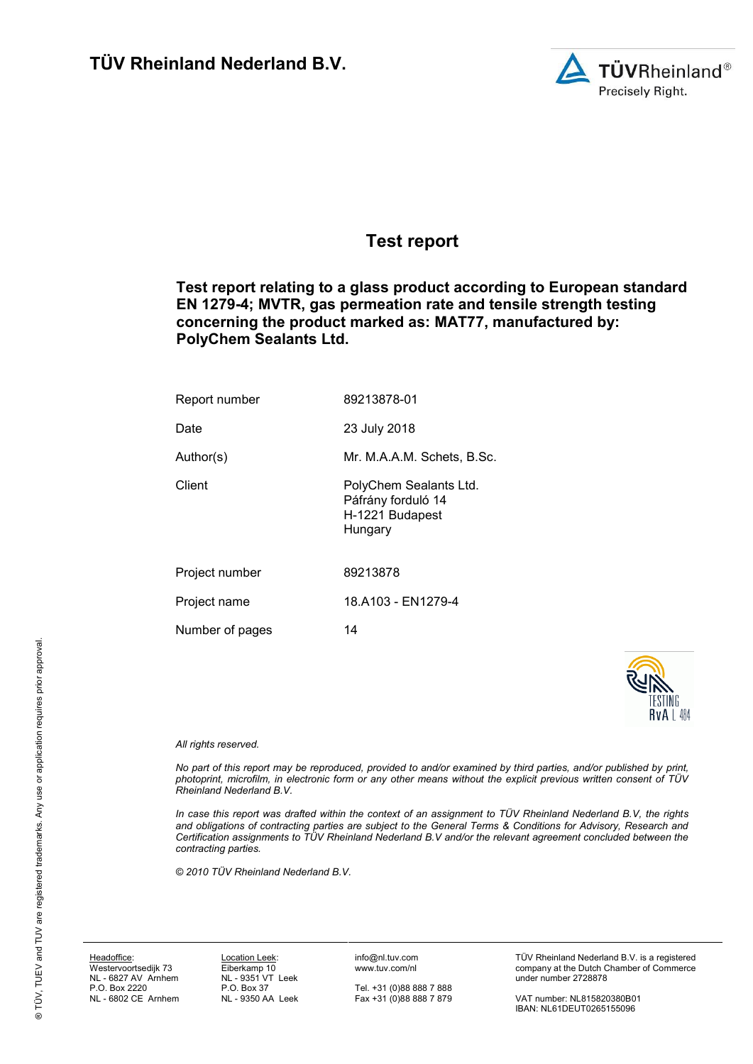

# **Test report**

**Test report relating to a glass product according to European standard EN 1279-4; MVTR, gas permeation rate and tensile strength testing concerning the product marked as: MAT77, manufactured by: PolyChem Sealants Ltd.**

| Report number   | 89213878-01                                                                |  |  |
|-----------------|----------------------------------------------------------------------------|--|--|
| Date            | 23 July 2018                                                               |  |  |
| Author(s)       | Mr. M.A.A.M. Schets, B.Sc.                                                 |  |  |
| Client          | PolyChem Sealants Ltd.<br>Páfrány forduló 14<br>H-1221 Budapest<br>Hungary |  |  |
| Project number  | 89213878                                                                   |  |  |
| Project name    | 18.A103 - EN1279-4                                                         |  |  |
| Number of pages | 14                                                                         |  |  |



#### *All rights reserved.*

*No part of this report may be reproduced, provided to and/or examined by third parties, and/or published by print, photoprint, microfilm, in electronic form or any other means without the explicit previous written consent of TÜV Rheinland Nederland B.V.*

*In case this report was drafted within the context of an assignment to TÜV Rheinland Nederland B.V, the rights and obligations of contracting parties are subject to the General Terms & Conditions for Advisory, Research and Certification assignments to TÜV Rheinland Nederland B.V and/or the relevant agreement concluded between the contracting parties.* 

*© 2010 TÜV Rheinland Nederland B.V.*

Headoffice: Westervoortsedijk 73 NL - 6827 AV Arnhem P.O. Box 2220 NL - 6802 CE Arnhem

Location Leek: Eiberkamp 10 NL - 9351 VT Leek P.O. Box 37 NL - 9350 AA Leek info@nl.tuv.com www.tuv.com/nl

Tel. +31 (0)88 888 7 888 Fax +31 (0)88 888 7 879 TÜV Rheinland Nederland B.V. is a registered company at the Dutch Chamber of Commerce under number 2728878

VAT number: NL815820380B01 IBAN: NL61DEUT0265155096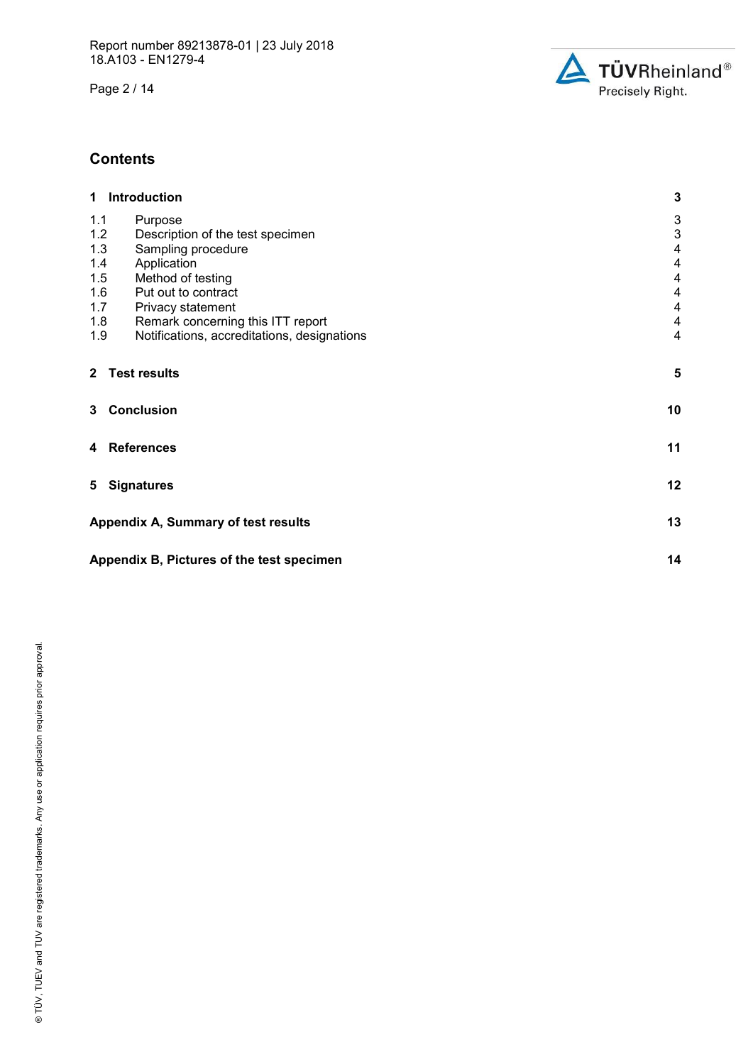Page 2 / 14



# **Contents**

| 1 Introduction                                     | $\mathbf 3$             |  |  |  |
|----------------------------------------------------|-------------------------|--|--|--|
| 1.1<br>Purpose                                     | 3                       |  |  |  |
| 1.2<br>Description of the test specimen            | 3                       |  |  |  |
| 1.3<br>Sampling procedure                          | $\overline{\mathbf{4}}$ |  |  |  |
| 1.4<br>Application                                 | $\overline{\mathbf{4}}$ |  |  |  |
| 1.5<br>Method of testing                           | $\overline{\mathbf{4}}$ |  |  |  |
| 1.6<br>Put out to contract                         | $\overline{4}$          |  |  |  |
| 1.7<br>Privacy statement                           | 4                       |  |  |  |
| 1.8<br>Remark concerning this ITT report           | $\overline{4}$          |  |  |  |
| 1.9<br>Notifications, accreditations, designations | $\overline{4}$          |  |  |  |
| 2 Test results                                     | 5                       |  |  |  |
| 3 Conclusion                                       | 10                      |  |  |  |
| 4 References                                       | 11                      |  |  |  |
| 5 Signatures                                       | 12                      |  |  |  |
| Appendix A, Summary of test results                | 13                      |  |  |  |
| 14<br>Appendix B, Pictures of the test specimen    |                         |  |  |  |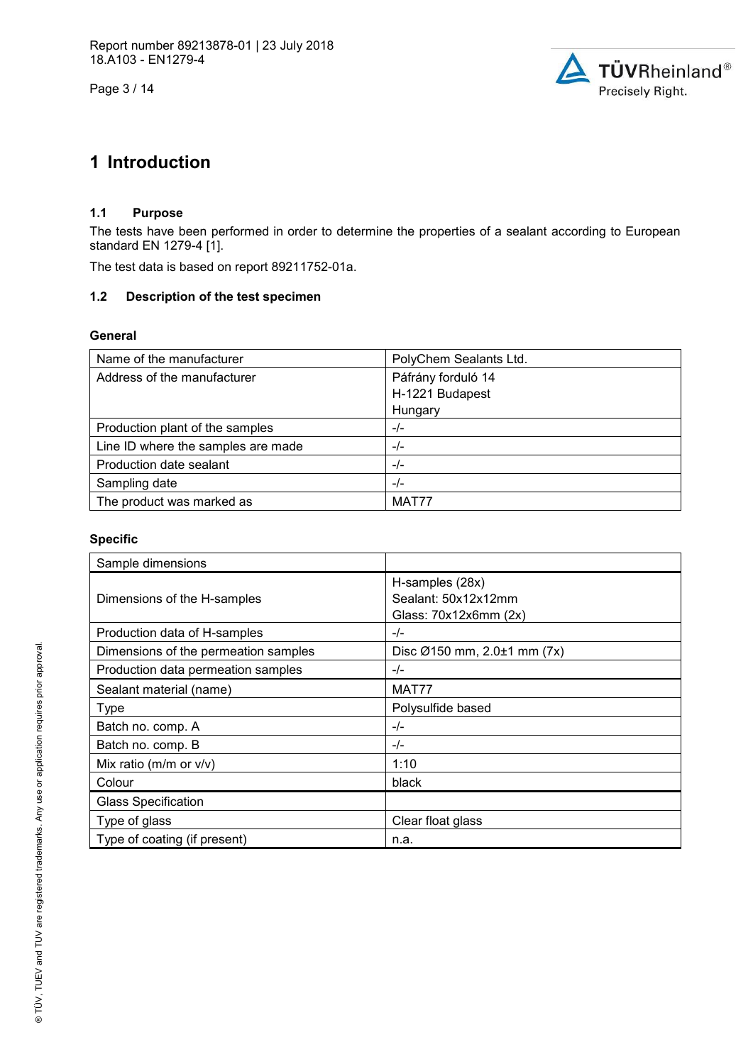Page 3 / 14



# **1 Introduction**

# **1.1 Purpose**

The tests have been performed in order to determine the properties of a sealant according to European standard EN 1279-4 [1].

The test data is based on report 89211752-01a.

### **1.2 Description of the test specimen**

### **General**

| Name of the manufacturer           | PolyChem Sealants Ltd. |
|------------------------------------|------------------------|
| Address of the manufacturer        | Páfrány forduló 14     |
|                                    | H-1221 Budapest        |
|                                    | Hungary                |
| Production plant of the samples    | $-/-$                  |
| Line ID where the samples are made | $-/-$                  |
| Production date sealant            | $-/-$                  |
| Sampling date                      | $-/-$                  |
| The product was marked as          | MAT77                  |

### **Specific**

| Sample dimensions                    |                                                                 |
|--------------------------------------|-----------------------------------------------------------------|
| Dimensions of the H-samples          | H-samples (28x)<br>Sealant: 50x12x12mm<br>Glass: 70x12x6mm (2x) |
| Production data of H-samples         | $-/-$                                                           |
| Dimensions of the permeation samples | Disc $\varnothing$ 150 mm, 2.0 $\pm$ 1 mm (7x)                  |
| Production data permeation samples   | $-/-$                                                           |
| Sealant material (name)              | MAT77                                                           |
| <b>Type</b>                          | Polysulfide based                                               |
| Batch no. comp. A                    | $-/-$                                                           |
| Batch no. comp. B                    | $-/-$                                                           |
| Mix ratio ( $m/m$ or $v/v$ )         | 1:10                                                            |
| Colour                               | black                                                           |
| <b>Glass Specification</b>           |                                                                 |
| Type of glass                        | Clear float glass                                               |
| Type of coating (if present)         | n.a.                                                            |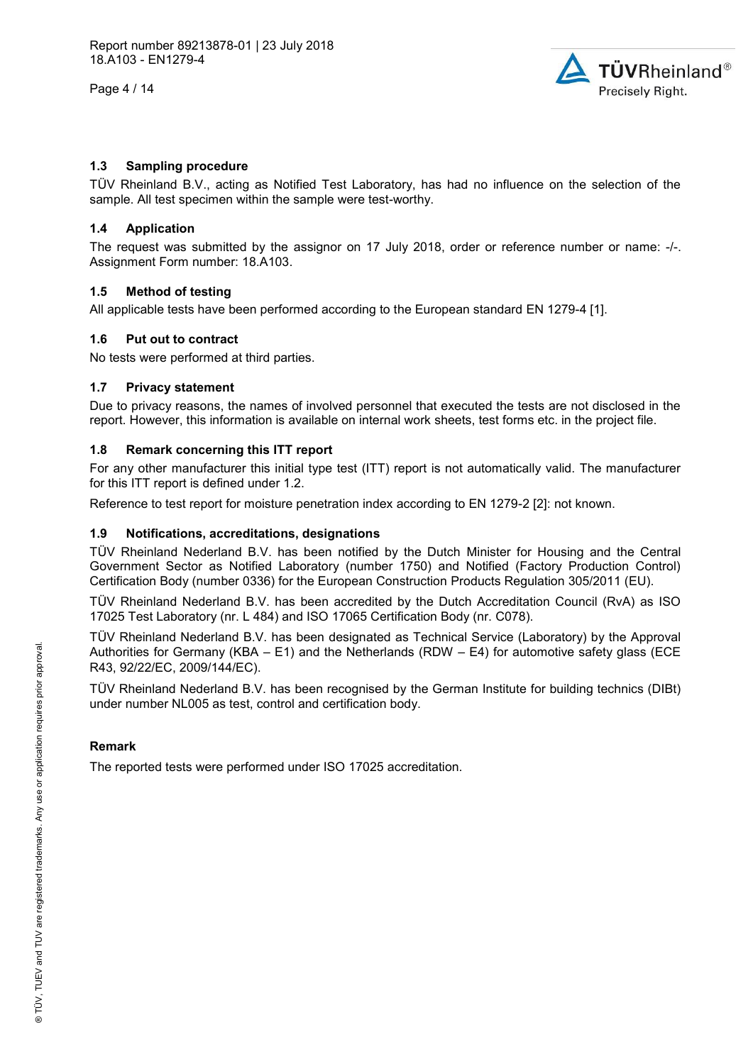Page 4 / 14



### **1.3 Sampling procedure**

TÜV Rheinland B.V., acting as Notified Test Laboratory, has had no influence on the selection of the sample. All test specimen within the sample were test-worthy.

#### **1.4 Application**

The request was submitted by the assignor on 17 July 2018, order or reference number or name: -/-. Assignment Form number: 18.A103.

### **1.5 Method of testing**

All applicable tests have been performed according to the European standard EN 1279-4 [1].

### **1.6 Put out to contract**

No tests were performed at third parties.

### **1.7 Privacy statement**

Due to privacy reasons, the names of involved personnel that executed the tests are not disclosed in the report. However, this information is available on internal work sheets, test forms etc. in the project file.

## **1.8 Remark concerning this ITT report**

For any other manufacturer this initial type test (ITT) report is not automatically valid. The manufacturer for this ITT report is defined under 1.2.

Reference to test report for moisture penetration index according to EN 1279-2 [2]: not known.

### **1.9 Notifications, accreditations, designations**

TÜV Rheinland Nederland B.V. has been notified by the Dutch Minister for Housing and the Central Government Sector as Notified Laboratory (number 1750) and Notified (Factory Production Control) Certification Body (number 0336) for the European Construction Products Regulation 305/2011 (EU).

TÜV Rheinland Nederland B.V. has been accredited by the Dutch Accreditation Council (RvA) as ISO 17025 Test Laboratory (nr. L 484) and ISO 17065 Certification Body (nr. C078).

TÜV Rheinland Nederland B.V. has been designated as Technical Service (Laboratory) by the Approval Authorities for Germany (KBA – E1) and the Netherlands (RDW – E4) for automotive safety glass (ECE R43, 92/22/EC, 2009/144/EC).

TÜV Rheinland Nederland B.V. has been recognised by the German Institute for building technics (DIBt) under number NL005 as test, control and certification body.

## **Remark**

The reported tests were performed under ISO 17025 accreditation.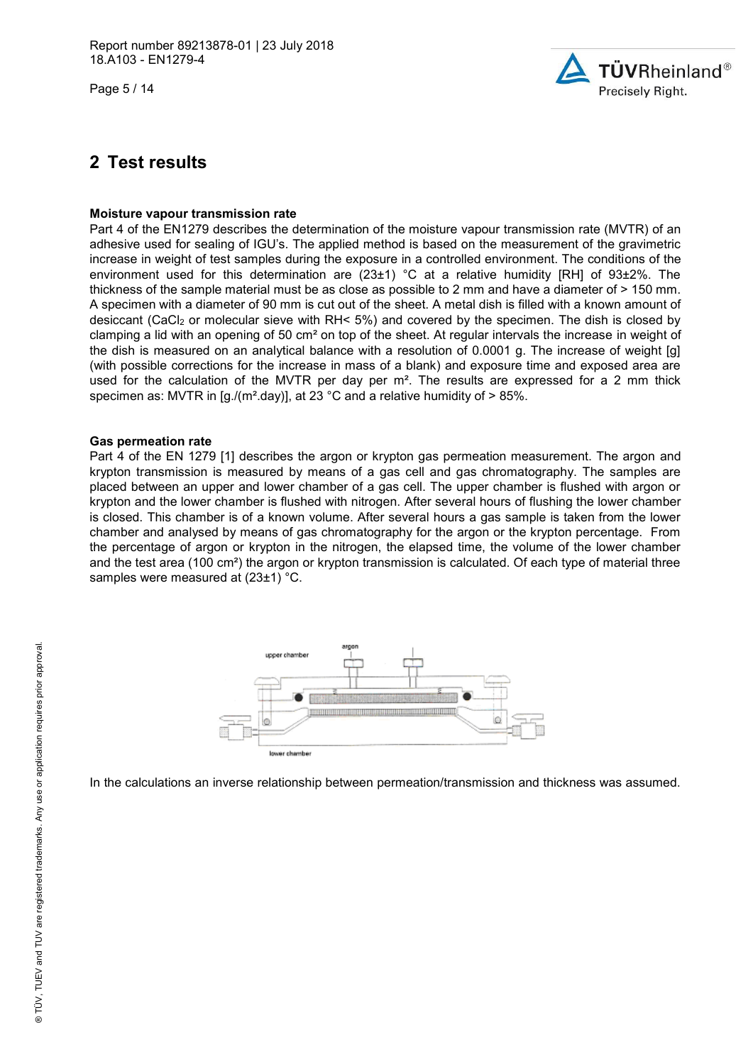Page 5 / 14



# **2 Test results**

#### **Moisture vapour transmission rate**

Part 4 of the EN1279 describes the determination of the moisture vapour transmission rate (MVTR) of an adhesive used for sealing of IGU's. The applied method is based on the measurement of the gravimetric increase in weight of test samples during the exposure in a controlled environment. The conditions of the environment used for this determination are (23±1) °C at a relative humidity [RH] of 93±2%. The thickness of the sample material must be as close as possible to 2 mm and have a diameter of > 150 mm. A specimen with a diameter of 90 mm is cut out of the sheet. A metal dish is filled with a known amount of desiccant (CaCl<sub>2</sub> or molecular sieve with RH< 5%) and covered by the specimen. The dish is closed by clamping a lid with an opening of 50 cm² on top of the sheet. At regular intervals the increase in weight of the dish is measured on an analytical balance with a resolution of 0.0001 g. The increase of weight [g] (with possible corrections for the increase in mass of a blank) and exposure time and exposed area are used for the calculation of the MVTR per day per m<sup>2</sup>. The results are expressed for a 2 mm thick specimen as: MVTR in  $[q]/(m^2 \text{day})]$ , at 23 °C and a relative humidity of  $> 85\%$ .

#### **Gas permeation rate**

Part 4 of the EN 1279 [1] describes the argon or krypton gas permeation measurement. The argon and krypton transmission is measured by means of a gas cell and gas chromatography. The samples are placed between an upper and lower chamber of a gas cell. The upper chamber is flushed with argon or krypton and the lower chamber is flushed with nitrogen. After several hours of flushing the lower chamber is closed. This chamber is of a known volume. After several hours a gas sample is taken from the lower chamber and analysed by means of gas chromatography for the argon or the krypton percentage. From the percentage of argon or krypton in the nitrogen, the elapsed time, the volume of the lower chamber and the test area (100 cm²) the argon or krypton transmission is calculated. Of each type of material three samples were measured at (23±1) °C.



In the calculations an inverse relationship between permeation/transmission and thickness was assumed.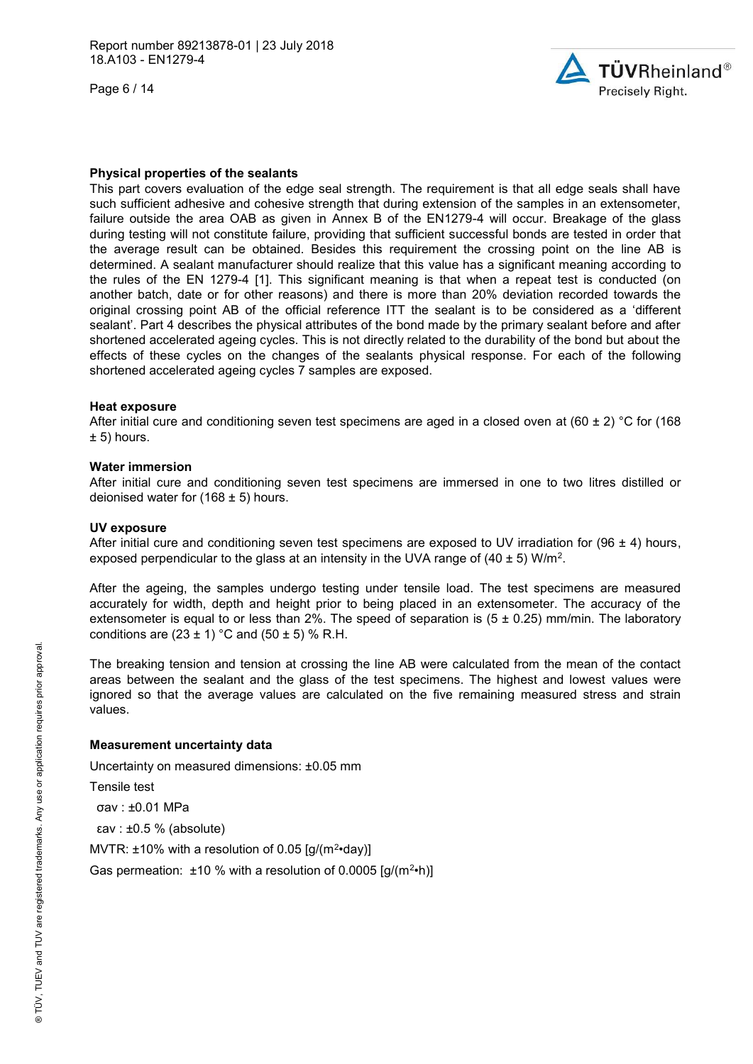Page 6 / 14



#### **Physical properties of the sealants**

This part covers evaluation of the edge seal strength. The requirement is that all edge seals shall have such sufficient adhesive and cohesive strength that during extension of the samples in an extensometer, failure outside the area OAB as given in Annex B of the EN1279-4 will occur. Breakage of the glass during testing will not constitute failure, providing that sufficient successful bonds are tested in order that the average result can be obtained. Besides this requirement the crossing point on the line AB is determined. A sealant manufacturer should realize that this value has a significant meaning according to the rules of the EN 1279-4 [1]. This significant meaning is that when a repeat test is conducted (on another batch, date or for other reasons) and there is more than 20% deviation recorded towards the original crossing point AB of the official reference ITT the sealant is to be considered as a 'different sealant'. Part 4 describes the physical attributes of the bond made by the primary sealant before and after shortened accelerated ageing cycles. This is not directly related to the durability of the bond but about the effects of these cycles on the changes of the sealants physical response. For each of the following shortened accelerated ageing cycles 7 samples are exposed.

#### **Heat exposure**

After initial cure and conditioning seven test specimens are aged in a closed oven at (60  $\pm$  2) °C for (168  $± 5)$  hours.

#### **Water immersion**

After initial cure and conditioning seven test specimens are immersed in one to two litres distilled or deionised water for  $(168 \pm 5)$  hours.

#### **UV exposure**

After initial cure and conditioning seven test specimens are exposed to UV irradiation for (96  $\pm$  4) hours, exposed perpendicular to the glass at an intensity in the UVA range of (40  $\pm$  5) W/m<sup>2</sup>.

After the ageing, the samples undergo testing under tensile load. The test specimens are measured accurately for width, depth and height prior to being placed in an extensometer. The accuracy of the extensometer is equal to or less than 2%. The speed of separation is  $(5 \pm 0.25)$  mm/min. The laboratory conditions are  $(23 \pm 1)$  °C and  $(50 \pm 5)$  % R.H.

The breaking tension and tension at crossing the line AB were calculated from the mean of the contact areas between the sealant and the glass of the test specimens. The highest and lowest values were ignored so that the average values are calculated on the five remaining measured stress and strain values.

#### **Measurement uncertainty data**

Uncertainty on measured dimensions: ±0.05 mm

Tensile test

σav : ±0.01 MPa

εav : ±0.5 % (absolute)

MVTR:  $\pm$ 10% with a resolution of 0.05 [g/(m<sup>2</sup>·day)]

Gas permeation:  $\pm 10$  % with a resolution of 0.0005 [g/(m<sup>2</sup>·h)]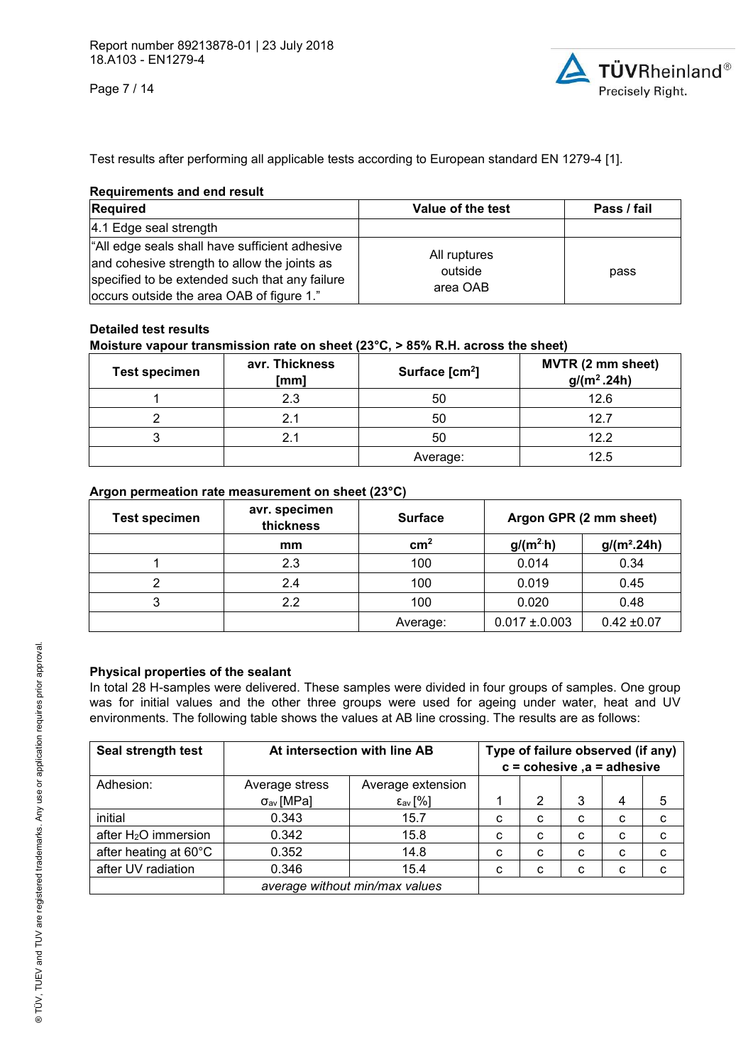Page 7 / 14



Test results after performing all applicable tests according to European standard EN 1279-4 [1].

### **Requirements and end result**

| Required                                                                                                                                                                                      | Value of the test                   | Pass / fail |
|-----------------------------------------------------------------------------------------------------------------------------------------------------------------------------------------------|-------------------------------------|-------------|
| 4.1 Edge seal strength                                                                                                                                                                        |                                     |             |
| "All edge seals shall have sufficient adhesive<br>and cohesive strength to allow the joints as<br>specified to be extended such that any failure<br>occurs outside the area OAB of figure 1." | All ruptures<br>outside<br>area OAB | pass        |

# **Detailed test results**

## **Moisture vapour transmission rate on sheet (23°C, > 85% R.H. across the sheet)**

| <b>Test specimen</b> | avr. Thickness<br>[mm] | Surface [cm <sup>2</sup> ] | MVTR (2 mm sheet)<br>$g/(m^2.24h)$ |
|----------------------|------------------------|----------------------------|------------------------------------|
|                      | 2.3                    | 50                         | 12.6                               |
|                      | 2.1                    | 50                         | 12.7                               |
| ົ                    |                        | 50                         | 12.2                               |
|                      |                        | Average:                   | 12.5                               |

# **Argon permeation rate measurement on sheet (23°C)**

| <b>Test specimen</b> | avr. specimen<br>thickness | <b>Surface</b> | Argon GPR (2 mm sheet) |                 |
|----------------------|----------------------------|----------------|------------------------|-----------------|
|                      | mm                         | $\text{cm}^2$  | $g/(m^2 h)$            | $g/(m^2.24h)$   |
|                      | 2.3                        | 100            | 0.014                  | 0.34            |
| ⌒                    | 2.4                        | 100            | 0.019                  | 0.45            |
| 3                    | 2.2                        | 100            | 0.020                  | 0.48            |
|                      |                            | Average:       | $0.017 \pm 0.003$      | $0.42 \pm 0.07$ |

## **Physical properties of the sealant**

In total 28 H-samples were delivered. These samples were divided in four groups of samples. One group was for initial values and the other three groups were used for ageing under water, heat and UV environments. The following table shows the values at AB line crossing. The results are as follows:

| Seal strength test               | At intersection with line AB   |                            |   |   | Type of failure observed (if any)<br>$c = \text{cohesive}$ , a = adhesive |   |   |
|----------------------------------|--------------------------------|----------------------------|---|---|---------------------------------------------------------------------------|---|---|
| Adhesion:                        | Average stress                 | Average extension          |   |   |                                                                           |   |   |
|                                  | $\sigma_{av}$ [MPa]            | $\epsilon_{\text{av}}$ [%] |   | 2 | 3                                                                         | 4 | 5 |
| initial                          | 0.343                          | 15.7                       | с | C | C                                                                         | C | c |
| after H <sub>2</sub> O immersion | 0.342                          | 15.8                       | с | C | C                                                                         | C | c |
| after heating at 60°C            | 0.352                          | 14.8                       | C | C | C                                                                         | C | c |
| after UV radiation               | 0.346                          | 15.4                       | с | C | C                                                                         | C | C |
|                                  | average without min/max values |                            |   |   |                                                                           |   |   |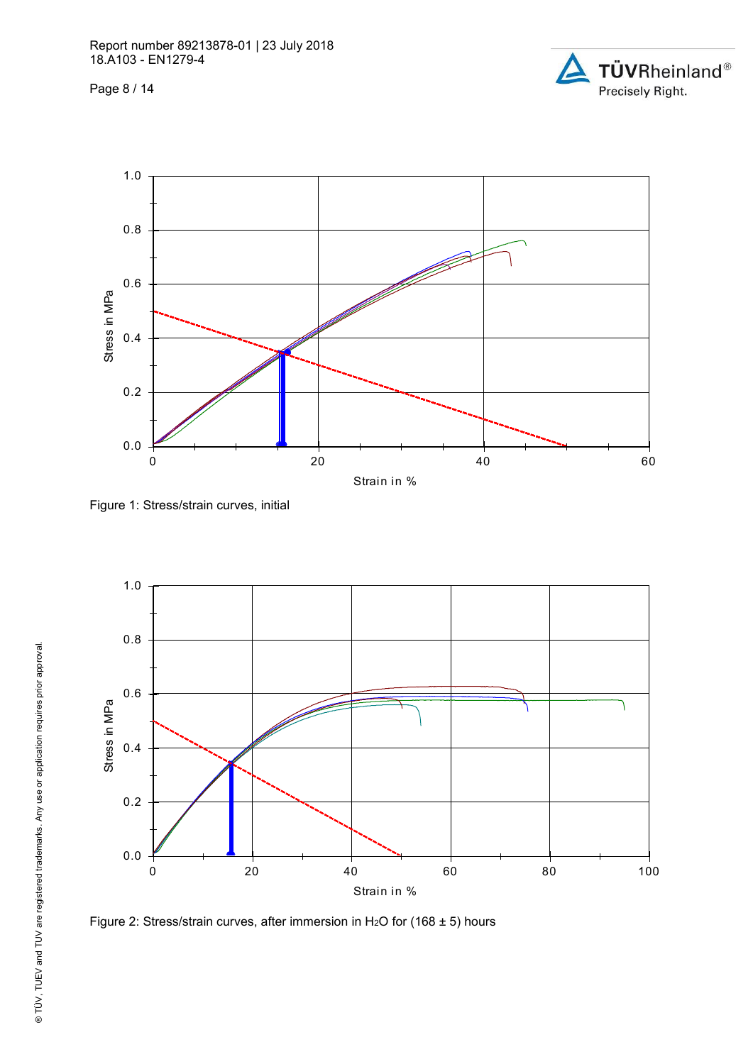Page 8 / 14





Figure 1: Stress/strain curves, initial



Figure 2: Stress/strain curves, after immersion in H<sub>2</sub>O for (168  $\pm$  5) hours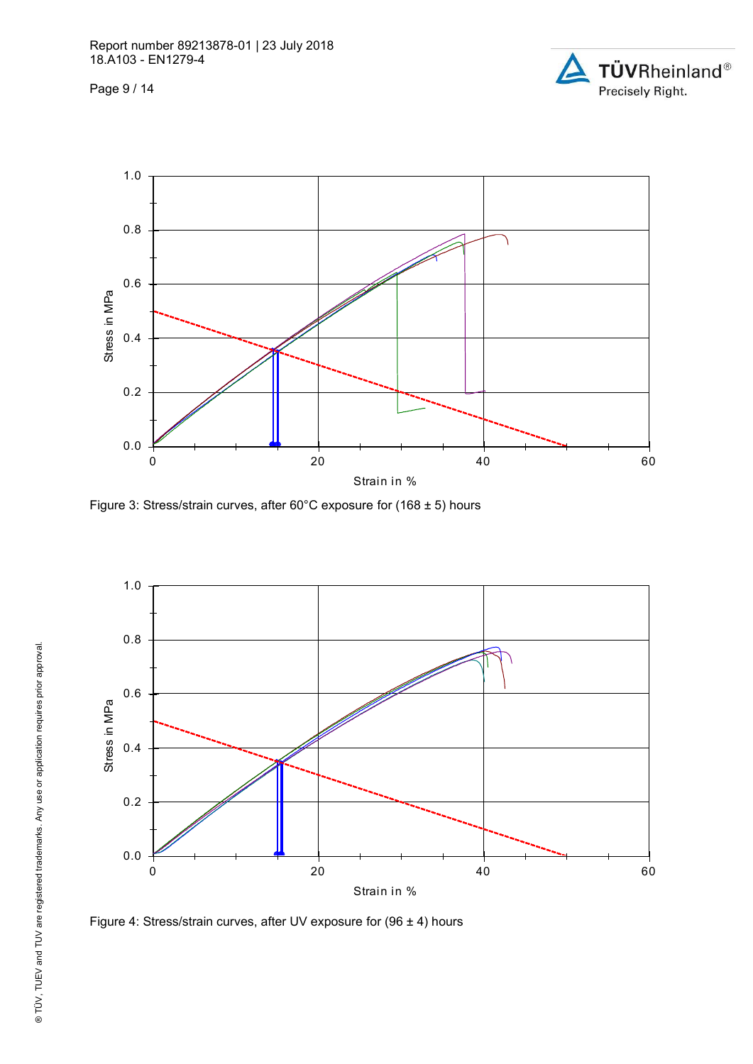Page 9 / 14





Figure 3: Stress/strain curves, after 60°C exposure for (168 ± 5) hours



Figure 4: Stress/strain curves, after UV exposure for (96 ± 4) hours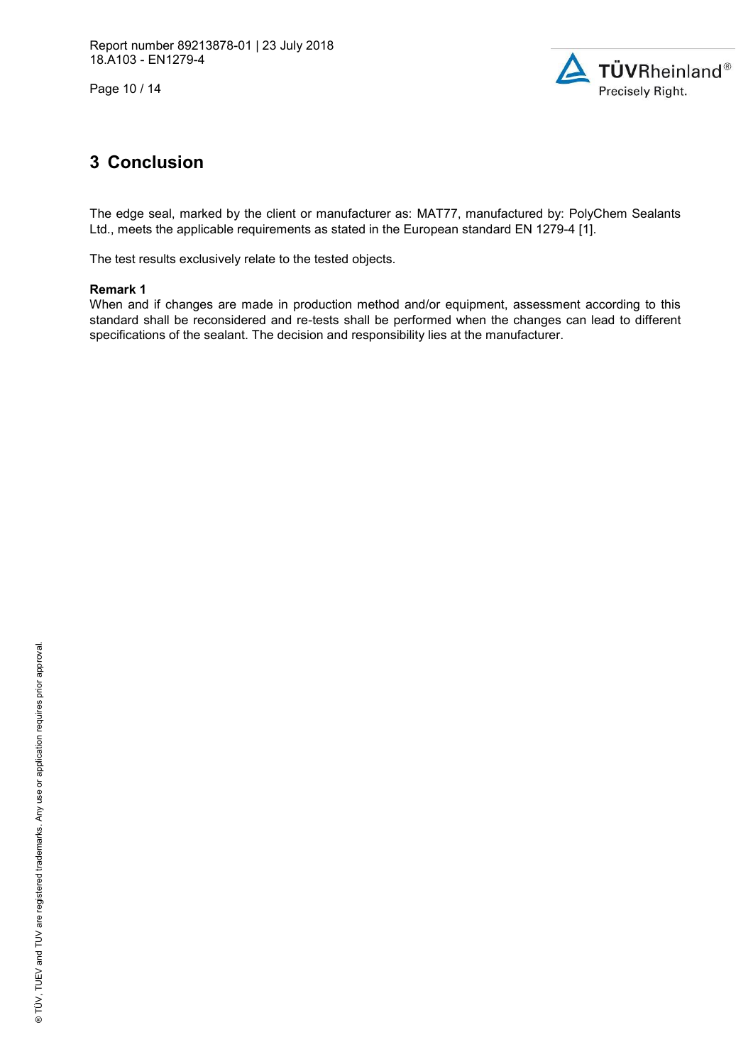Page 10 / 14



# **3 Conclusion**

The edge seal, marked by the client or manufacturer as: MAT77, manufactured by: PolyChem Sealants Ltd., meets the applicable requirements as stated in the European standard EN 1279-4 [1].

The test results exclusively relate to the tested objects.

### **Remark 1**

When and if changes are made in production method and/or equipment, assessment according to this standard shall be reconsidered and re-tests shall be performed when the changes can lead to different specifications of the sealant. The decision and responsibility lies at the manufacturer.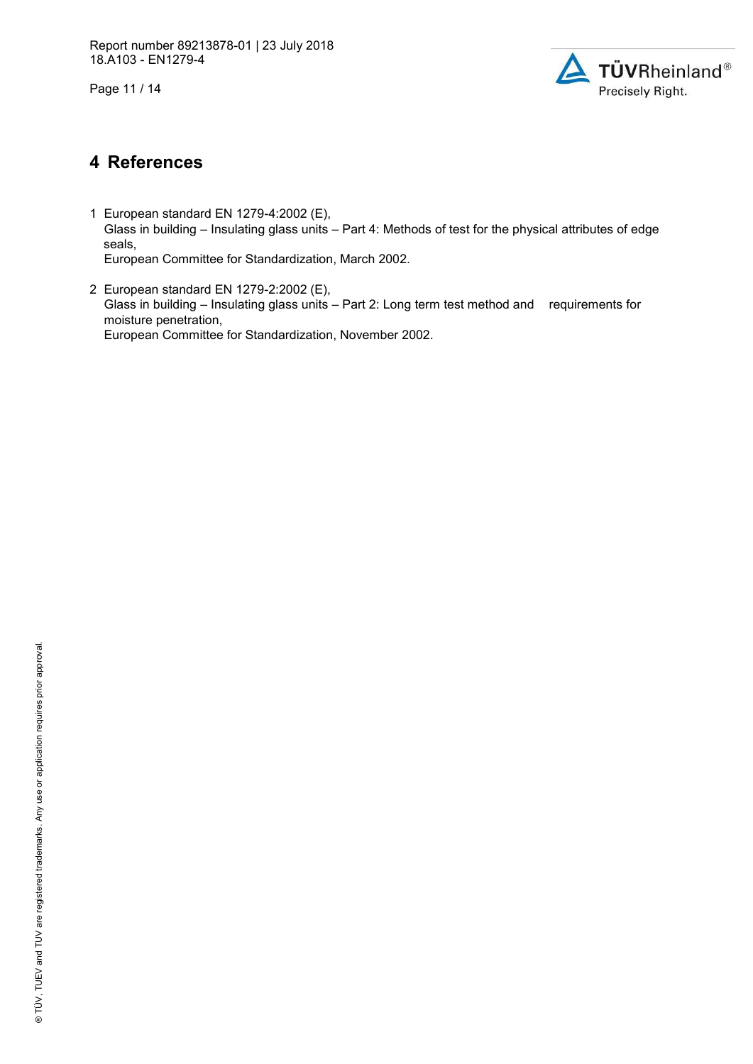Page 11 / 14



# **4 References**

- 1 European standard EN 1279-4:2002 (E), Glass in building – Insulating glass units – Part 4: Methods of test for the physical attributes of edge seals, European Committee for Standardization, March 2002.
- 2 European standard EN 1279-2:2002 (E), Glass in building – Insulating glass units – Part 2: Long term test method and requirements for moisture penetration, European Committee for Standardization, November 2002.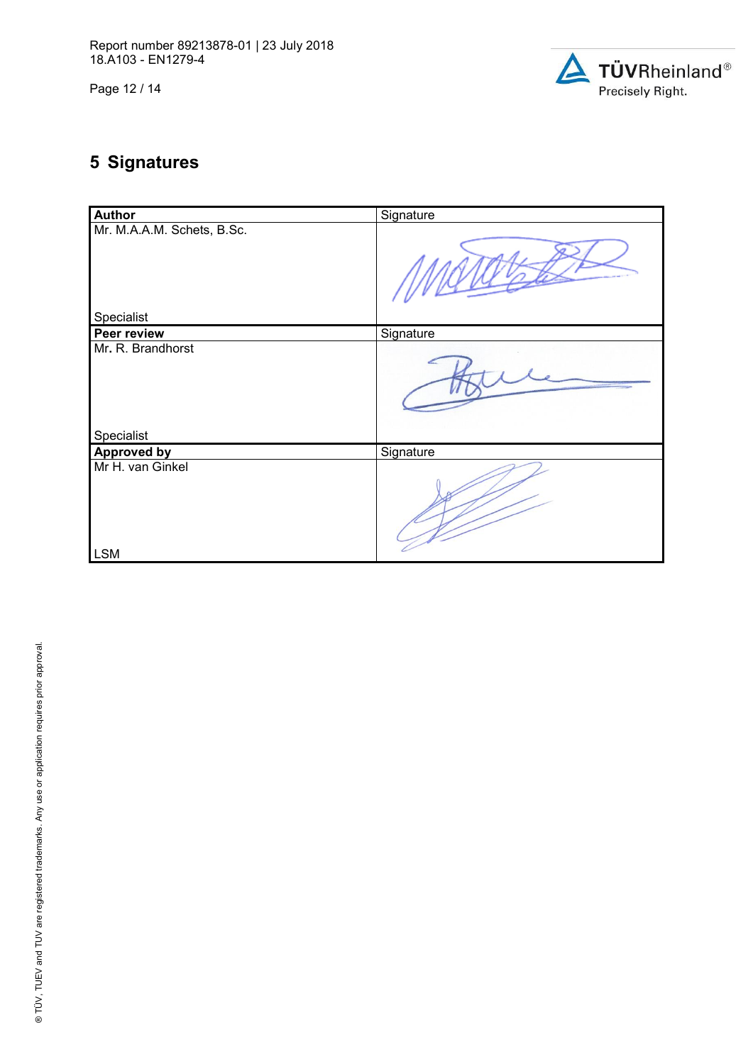Page 12 / 14



# **5 Signatures**

| <b>Author</b>                   | Signature |
|---------------------------------|-----------|
| Mr. M.A.A.M. Schets, B.Sc.      |           |
| Specialist                      |           |
| Peer review                     | Signature |
| Mr. R. Brandhorst<br>Specialist |           |
| <b>Approved by</b>              | Signature |
| Mr H. van Ginkel                |           |
| <b>LSM</b>                      |           |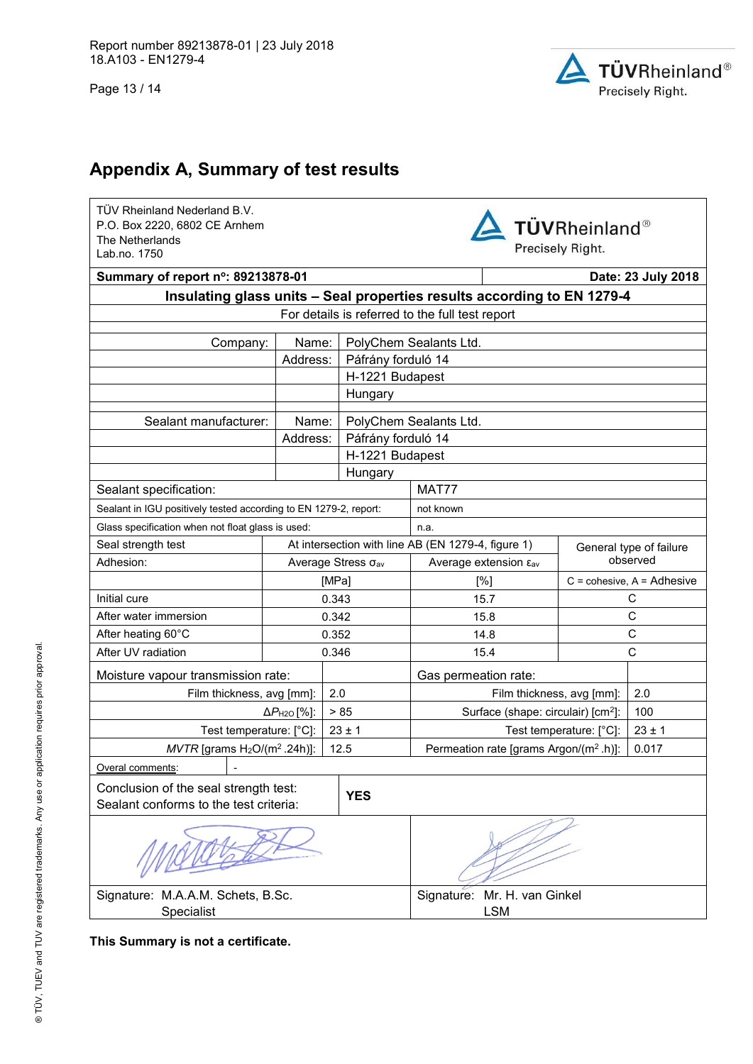Page 13 / 14



# **Appendix A, Summary of test results**

TÜV Rheinland Nederland B.V. P.O. Box 2220, 6802 CE Arnhem The Netherlands Lab.no. 1750

**TÜVRheinland®** Precisely Right.

| Summary of report n°: 89213878-01                                       |                                   |                              |                    |                                                             | Date: 23 July 2018                             |            |
|-------------------------------------------------------------------------|-----------------------------------|------------------------------|--------------------|-------------------------------------------------------------|------------------------------------------------|------------|
| Insulating glass units - Seal properties results according to EN 1279-4 |                                   |                              |                    |                                                             |                                                |            |
| For details is referred to the full test report                         |                                   |                              |                    |                                                             |                                                |            |
| Name:<br>Company:                                                       |                                   |                              |                    | PolyChem Sealants Ltd.                                      |                                                |            |
|                                                                         | Address:                          |                              | Páfrány forduló 14 |                                                             |                                                |            |
|                                                                         |                                   |                              | H-1221 Budapest    |                                                             |                                                |            |
|                                                                         |                                   |                              | Hungary            |                                                             |                                                |            |
|                                                                         |                                   |                              |                    |                                                             |                                                |            |
| Sealant manufacturer:                                                   | Name:                             |                              |                    | PolyChem Sealants Ltd.                                      |                                                |            |
|                                                                         | Address:                          |                              | Páfrány forduló 14 |                                                             |                                                |            |
|                                                                         |                                   |                              | H-1221 Budapest    |                                                             |                                                |            |
| Sealant specification:                                                  |                                   |                              | Hungary            | MAT77                                                       |                                                |            |
| Sealant in IGU positively tested according to EN 1279-2, report:        |                                   |                              |                    | not known                                                   |                                                |            |
| Glass specification when not float glass is used:                       |                                   |                              |                    | n.a.                                                        |                                                |            |
| Seal strength test                                                      |                                   |                              |                    | At intersection with line AB (EN 1279-4, figure 1)          | General type of failure                        |            |
| Adhesion:                                                               |                                   |                              | Average Stress Oav | Average extension ε <sub>av</sub>                           | observed                                       |            |
|                                                                         | [MPa]                             |                              |                    | [%]                                                         | $C = \text{cohesive}, A = \text{Adhesive}$     |            |
| Initial cure                                                            | 0.343                             |                              |                    | 15.7                                                        | С                                              |            |
| After water immersion                                                   | 0.342                             |                              |                    | 15.8                                                        |                                                | С          |
| After heating 60°C                                                      |                                   | $\mathsf C$<br>0.352<br>14.8 |                    |                                                             |                                                |            |
| After UV radiation                                                      |                                   | 0.346                        |                    | C<br>15.4                                                   |                                                |            |
| Moisture vapour transmission rate:                                      |                                   |                              |                    | Gas permeation rate:                                        |                                                |            |
| Film thickness, avg [mm]:                                               |                                   | 2.0                          |                    | Film thickness, avg [mm]:                                   |                                                | 2.0        |
|                                                                         | $\Delta P_{\text{H2O}}$ [%]:      |                              | > 85               |                                                             | Surface (shape: circulair) [cm <sup>2</sup> ]: |            |
| Test temperature: [°C]:                                                 |                                   |                              | $23 \pm 1$         |                                                             | Test temperature: [°C]:                        | $23 \pm 1$ |
| $MVTR$ [grams $H2O/(m2 .24h)$ ]:                                        |                                   |                              | 12.5               | Permeation rate [grams Argon/(m <sup>2</sup> .h)]:<br>0.017 |                                                |            |
| Overal comments:                                                        |                                   |                              |                    |                                                             |                                                |            |
| Conclusion of the seal strength test:                                   |                                   |                              | <b>YES</b>         |                                                             |                                                |            |
| Sealant conforms to the test criteria:                                  |                                   |                              |                    |                                                             |                                                |            |
|                                                                         |                                   |                              |                    |                                                             |                                                |            |
|                                                                         | Signature: M.A.A.M. Schets, B.Sc. |                              |                    | Signature: Mr. H. van Ginkel                                |                                                |            |
| Specialist                                                              |                                   |                              | <b>LSM</b>         |                                                             |                                                |            |

**This Summary is not a certificate.**